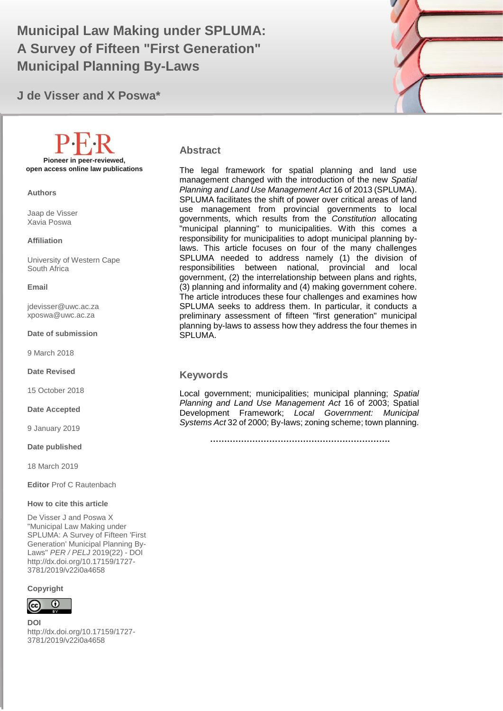# Municipal Law Making under SPLUMA: **And Allen Contract Contract Contract Contract Contract Contract Contract Contract Contract Contract Contract Contract Contract Contract Contract Contract Contract Contract Contract Contr A Survey of Fifteen "First Generation" Municipal Planning By-Laws**

**J de Visser and X Poswa\***



#### **Abstract**

The legal framework for spatial planning and land use management changed with the introduction of the new *Spatial Planning and Land Use Management Act* 16 of 2013 (SPLUMA). SPLUMA facilitates the shift of power over critical areas of land use management from provincial governments to local governments, which results from the *Constitution* allocating "municipal planning" to municipalities. With this comes a responsibility for municipalities to adopt municipal planning bylaws. This article focuses on four of the many challenges SPLUMA needed to address namely (1) the division of responsibilities between national, provincial and local government, (2) the interrelationship between plans and rights, (3) planning and informality and (4) making government cohere. The article introduces these four challenges and examines how SPLUMA seeks to address them. In particular, it conducts a preliminary assessment of fifteen "first generation" municipal planning by-laws to assess how they address the four themes in SPLUMA.

#### **Keywords**

Local government; municipalities; municipal planning; *Spatial Planning and Land Use Management Act* 16 of 2003; Spatial Development Framework; *Local Government: Municipal Systems Act* 32 of 2000; By-laws; zoning scheme; town planning.

 **……………………………………………………….**

**Pioneer in peer-reviewed, open access online law publications**

**Authors**

Jaap de Visser Xavia Poswa

#### **Affiliation**

University of Western Cape South Africa

#### **Email**

[jdevisser@uwc.ac.za](mailto:jdevisser@uwc.ac.za) xposwa@uwc.ac.za

#### **Date of submission**

9 March 2018

**Date Revised**

15 October 2018

**Date Accepted**

9 January 2019

**Date published**

18 March 2019

**Editor** Prof C Rautenbach

#### **How to cite this article**

De Visser J and Poswa X "Municipal Law Making under SPLUMA: A Survey of Fifteen 'First Generation' Municipal Planning By-Laws" *PER / PELJ* 2019(22) - DOI http://dx.doi.org/10.17159/1727- 3781/2019/v22i0a4658

**Copyright**



**DOI**  http://dx.doi.org/10.17159/1727- 3781/2019/v22i0a4658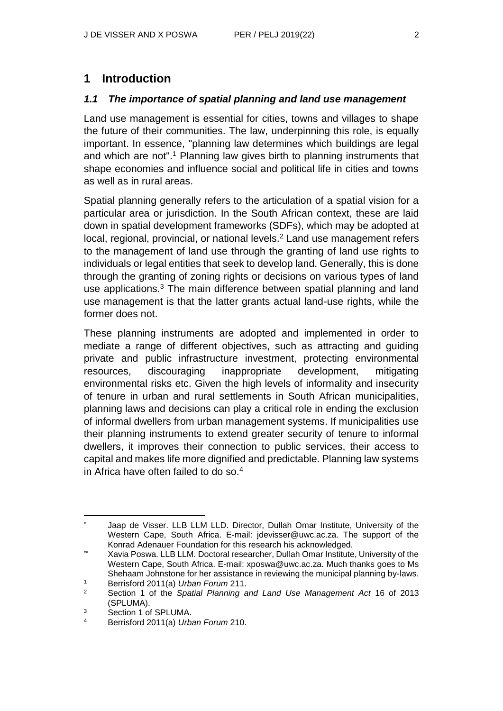#### *1.1 The importance of spatial planning and land use management*

Land use management is essential for cities, towns and villages to shape the future of their communities. The law, underpinning this role, is equally important. In essence, "planning law determines which buildings are legal and which are not".<sup>1</sup> Planning law gives birth to planning instruments that shape economies and influence social and political life in cities and towns as well as in rural areas.

Spatial planning generally refers to the articulation of a spatial vision for a particular area or jurisdiction. In the South African context, these are laid down in spatial development frameworks (SDFs), which may be adopted at local, regional, provincial, or national levels.<sup>2</sup> Land use management refers to the management of land use through the granting of land use rights to individuals or legal entities that seek to develop land. Generally, this is done through the granting of zoning rights or decisions on various types of land use applications.<sup>3</sup> The main difference between spatial planning and land use management is that the latter grants actual land-use rights, while the former does not.

These planning instruments are adopted and implemented in order to mediate a range of different objectives, such as attracting and guiding private and public infrastructure investment, protecting environmental resources, discouraging inappropriate development, mitigating environmental risks etc. Given the high levels of informality and insecurity of tenure in urban and rural settlements in South African municipalities, planning laws and decisions can play a critical role in ending the exclusion of informal dwellers from urban management systems. If municipalities use their planning instruments to extend greater security of tenure to informal dwellers, it improves their connection to public services, their access to capital and makes life more dignified and predictable. Planning law systems in Africa have often failed to do so.<sup>4</sup>

l Jaap de Visser. LLB LLM LLD. Director, Dullah Omar Institute, University of the Western Cape, South Africa. E-mail: jdevisser@uwc.ac.za. The support of the Konrad Adenauer Foundation for this research his acknowledged.

<sup>\*\*</sup> Xavia Poswa. LLB LLM. Doctoral researcher, Dullah Omar Institute, University of the Western Cape, South Africa. E-mail: xposwa@uwc.ac.za. Much thanks goes to Ms Shehaam Johnstone for her assistance in reviewing the municipal planning by-laws.

<sup>1</sup> Berrisford 2011(a) *Urban Forum* 211.

<sup>2</sup> Section 1 of the *Spatial Planning and Land Use Management Act* 16 of 2013 (SPLUMA).

<sup>3</sup> Section 1 of SPLUMA.

<sup>4</sup> Berrisford 2011(a) *Urban Forum* 210.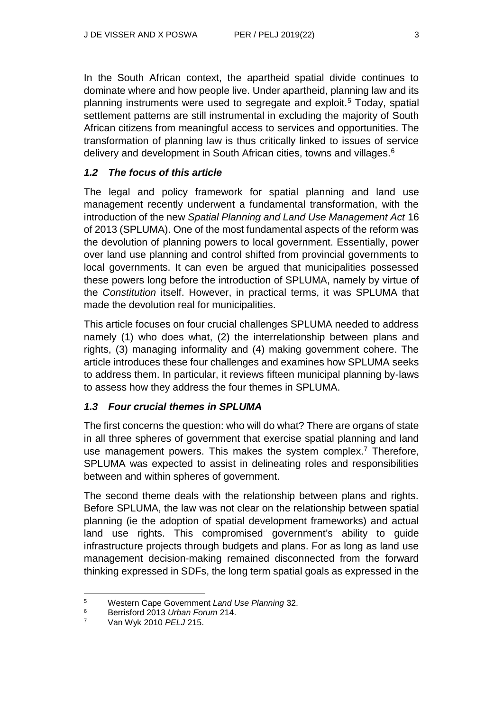In the South African context, the apartheid spatial divide continues to dominate where and how people live. Under apartheid, planning law and its planning instruments were used to segregate and exploit.<sup>5</sup> Today, spatial settlement patterns are still instrumental in excluding the majority of South African citizens from meaningful access to services and opportunities. The transformation of planning law is thus critically linked to issues of service delivery and development in South African cities, towns and villages.<sup>6</sup>

#### *1.2 The focus of this article*

The legal and policy framework for spatial planning and land use management recently underwent a fundamental transformation, with the introduction of the new *Spatial Planning and Land Use Management Act* 16 of 2013 (SPLUMA). One of the most fundamental aspects of the reform was the devolution of planning powers to local government. Essentially, power over land use planning and control shifted from provincial governments to local governments. It can even be argued that municipalities possessed these powers long before the introduction of SPLUMA, namely by virtue of the *Constitution* itself. However, in practical terms, it was SPLUMA that made the devolution real for municipalities.

This article focuses on four crucial challenges SPLUMA needed to address namely (1) who does what, (2) the interrelationship between plans and rights, (3) managing informality and (4) making government cohere. The article introduces these four challenges and examines how SPLUMA seeks to address them. In particular, it reviews fifteen municipal planning by-laws to assess how they address the four themes in SPLUMA.

#### *1.3 Four crucial themes in SPLUMA*

The first concerns the question: who will do what? There are organs of state in all three spheres of government that exercise spatial planning and land use management powers. This makes the system complex.<sup>7</sup> Therefore, SPLUMA was expected to assist in delineating roles and responsibilities between and within spheres of government.

The second theme deals with the relationship between plans and rights. Before SPLUMA, the law was not clear on the relationship between spatial planning (ie the adoption of spatial development frameworks) and actual land use rights. This compromised government's ability to guide infrastructure projects through budgets and plans. For as long as land use management decision-making remained disconnected from the forward thinking expressed in SDFs, the long term spatial goals as expressed in the

 $\overline{a}$ 

<sup>5</sup> Western Cape Government *Land Use Planning* 32.

<sup>6</sup> Berrisford 2013 *Urban Forum* 214.

<sup>7</sup> Van Wyk 2010 *PELJ* 215.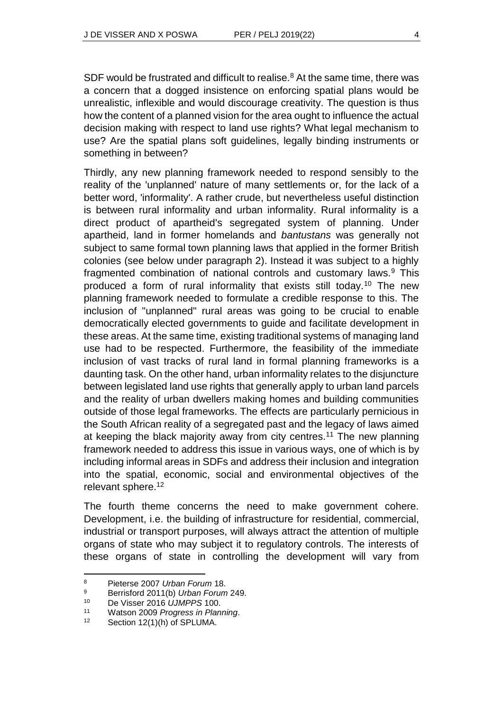SDF would be frustrated and difficult to realise.<sup>8</sup> At the same time, there was a concern that a dogged insistence on enforcing spatial plans would be unrealistic, inflexible and would discourage creativity. The question is thus how the content of a planned vision for the area ought to influence the actual decision making with respect to land use rights? What legal mechanism to use? Are the spatial plans soft guidelines, legally binding instruments or something in between?

Thirdly, any new planning framework needed to respond sensibly to the reality of the 'unplanned' nature of many settlements or, for the lack of a better word, 'informality'. A rather crude, but nevertheless useful distinction is between rural informality and urban informality. Rural informality is a direct product of apartheid's segregated system of planning. Under apartheid, land in former homelands and *bantustans* was generally not subject to same formal town planning laws that applied in the former British colonies (see below under paragraph 2). Instead it was subject to a highly fragmented combination of national controls and customary laws.<sup>9</sup> This produced a form of rural informality that exists still today.<sup>10</sup> The new planning framework needed to formulate a credible response to this. The inclusion of "unplanned" rural areas was going to be crucial to enable democratically elected governments to guide and facilitate development in these areas. At the same time, existing traditional systems of managing land use had to be respected. Furthermore, the feasibility of the immediate inclusion of vast tracks of rural land in formal planning frameworks is a daunting task. On the other hand, urban informality relates to the disjuncture between legislated land use rights that generally apply to urban land parcels and the reality of urban dwellers making homes and building communities outside of those legal frameworks. The effects are particularly pernicious in the South African reality of a segregated past and the legacy of laws aimed at keeping the black majority away from city centres.<sup>11</sup> The new planning framework needed to address this issue in various ways, one of which is by including informal areas in SDFs and address their inclusion and integration into the spatial, economic, social and environmental objectives of the relevant sphere.<sup>12</sup>

The fourth theme concerns the need to make government cohere. Development, i.e. the building of infrastructure for residential, commercial, industrial or transport purposes, will always attract the attention of multiple organs of state who may subject it to regulatory controls. The interests of these organs of state in controlling the development will vary from

<sup>8</sup> Pieterse 2007 *Urban Forum* 18.

<sup>9</sup> Berrisford 2011(b) *Urban Forum* 249.

<sup>10</sup> De Visser 2016 *UJMPPS* 100.

<sup>11</sup> Watson 2009 *Progress in Planning*.

<sup>12</sup> Section 12(1)(h) of SPLUMA.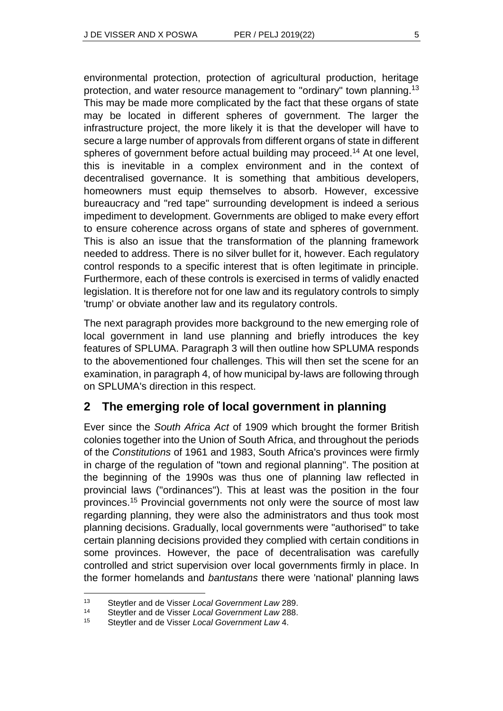environmental protection, protection of agricultural production, heritage protection, and water resource management to "ordinary" town planning.<sup>13</sup> This may be made more complicated by the fact that these organs of state may be located in different spheres of government. The larger the infrastructure project, the more likely it is that the developer will have to secure a large number of approvals from different organs of state in different spheres of government before actual building may proceed.<sup>14</sup> At one level, this is inevitable in a complex environment and in the context of decentralised governance. It is something that ambitious developers, homeowners must equip themselves to absorb. However, excessive bureaucracy and "red tape" surrounding development is indeed a serious impediment to development. Governments are obliged to make every effort to ensure coherence across organs of state and spheres of government. This is also an issue that the transformation of the planning framework needed to address. There is no silver bullet for it, however. Each regulatory control responds to a specific interest that is often legitimate in principle. Furthermore, each of these controls is exercised in terms of validly enacted legislation. It is therefore not for one law and its regulatory controls to simply 'trump' or obviate another law and its regulatory controls.

The next paragraph provides more background to the new emerging role of local government in land use planning and briefly introduces the key features of SPLUMA. Paragraph 3 will then outline how SPLUMA responds to the abovementioned four challenges. This will then set the scene for an examination, in paragraph 4, of how municipal by-laws are following through on SPLUMA's direction in this respect.

### **2 The emerging role of local government in planning**

Ever since the *South Africa Act* of 1909 which brought the former British colonies together into the Union of South Africa, and throughout the periods of the *Constitutions* of 1961 and 1983, South Africa's provinces were firmly in charge of the regulation of "town and regional planning". The position at the beginning of the 1990s was thus one of planning law reflected in provincial laws ("ordinances"). This at least was the position in the four provinces.<sup>15</sup> Provincial governments not only were the source of most law regarding planning, they were also the administrators and thus took most planning decisions. Gradually, local governments were "authorised" to take certain planning decisions provided they complied with certain conditions in some provinces. However, the pace of decentralisation was carefully controlled and strict supervision over local governments firmly in place. In the former homelands and *bantustans* there were 'national' planning laws

 $\overline{a}$ 

<sup>13</sup> Steytler and de Visser *Local Government Law* 289.

<sup>14</sup> Steytler and de Visser *Local Government Law* 288.

<sup>15</sup> Steytler and de Visser *Local Government Law* 4.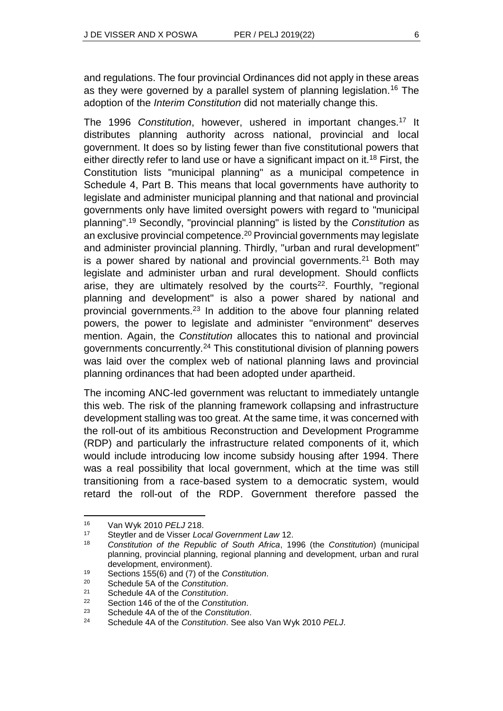and regulations. The four provincial Ordinances did not apply in these areas as they were governed by a parallel system of planning legislation.<sup>16</sup> The adoption of the *Interim Constitution* did not materially change this.

The 1996 *Constitution*, however, ushered in important changes.<sup>17</sup> It distributes planning authority across national, provincial and local government. It does so by listing fewer than five constitutional powers that either directly refer to land use or have a significant impact on it.<sup>18</sup> First, the Constitution lists "municipal planning" as a municipal competence in Schedule 4, Part B. This means that local governments have authority to legislate and administer municipal planning and that national and provincial governments only have limited oversight powers with regard to "municipal planning". <sup>19</sup> Secondly, "provincial planning" is listed by the *Constitution* as an exclusive provincial competence.<sup>20</sup> Provincial governments may legislate and administer provincial planning. Thirdly, "urban and rural development" is a power shared by national and provincial governments.<sup>21</sup> Both may legislate and administer urban and rural development. Should conflicts arise, they are ultimately resolved by the courts<sup>22</sup>. Fourthly, "regional planning and development" is also a power shared by national and provincial governments.<sup>23</sup> In addition to the above four planning related powers, the power to legislate and administer "environment" deserves mention. Again, the *Constitution* allocates this to national and provincial governments concurrently.<sup>24</sup> This constitutional division of planning powers was laid over the complex web of national planning laws and provincial planning ordinances that had been adopted under apartheid.

The incoming ANC-led government was reluctant to immediately untangle this web. The risk of the planning framework collapsing and infrastructure development stalling was too great. At the same time, it was concerned with the roll-out of its ambitious Reconstruction and Development Programme (RDP) and particularly the infrastructure related components of it, which would include introducing low income subsidy housing after 1994. There was a real possibility that local government, which at the time was still transitioning from a race-based system to a democratic system, would retard the roll-out of the RDP. Government therefore passed the

<sup>16</sup> Van Wyk 2010 *PELJ* 218.

<sup>17</sup> Steytler and de Visser *Local Government Law* 12.

<sup>18</sup> *Constitution of the Republic of South Africa*, 1996 (the *Constitution*) (municipal planning, provincial planning, regional planning and development, urban and rural development, environment).

<sup>19</sup> Sections 155(6) and (7) of the *Constitution*.

<sup>20</sup> Schedule 5A of the *Constitution*.

<sup>21</sup> Schedule 4A of the *Constitution*.

<sup>22</sup> Section 146 of the of the *Constitution*.

<sup>23</sup> Schedule 4A of the of the *Constitution*.

<sup>24</sup> Schedule 4A of the *Constitution*. See also Van Wyk 2010 *PELJ*.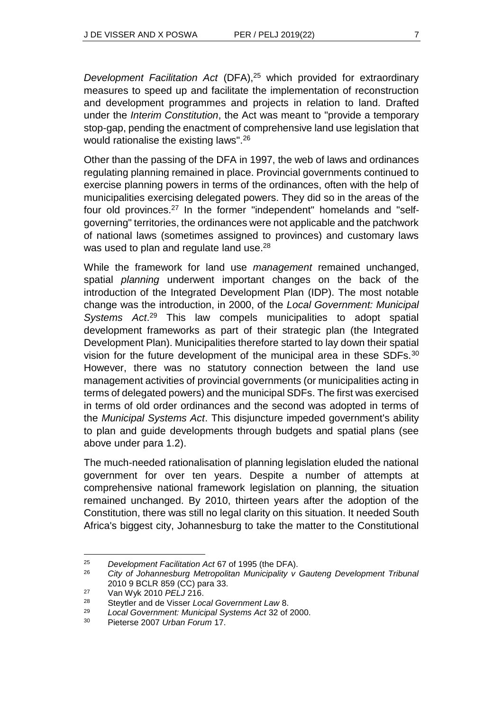*Development Facilitation Act* (DFA),<sup>25</sup> which provided for extraordinary measures to speed up and facilitate the implementation of reconstruction and development programmes and projects in relation to land. Drafted under the *Interim Constitution*, the Act was meant to "provide a temporary stop-gap, pending the enactment of comprehensive land use legislation that would rationalise the existing laws".<sup>26</sup>

Other than the passing of the DFA in 1997, the web of laws and ordinances regulating planning remained in place. Provincial governments continued to exercise planning powers in terms of the ordinances, often with the help of municipalities exercising delegated powers. They did so in the areas of the four old provinces.<sup>27</sup> In the former "independent" homelands and "selfgoverning" territories, the ordinances were not applicable and the patchwork of national laws (sometimes assigned to provinces) and customary laws was used to plan and regulate land use.<sup>28</sup>

While the framework for land use *management* remained unchanged, spatial *planning* underwent important changes on the back of the introduction of the Integrated Development Plan (IDP). The most notable change was the introduction, in 2000, of the *Local Government: Municipal Systems Act*. <sup>29</sup> This law compels municipalities to adopt spatial development frameworks as part of their strategic plan (the Integrated Development Plan). Municipalities therefore started to lay down their spatial vision for the future development of the municipal area in these SDFs.<sup>30</sup> However, there was no statutory connection between the land use management activities of provincial governments (or municipalities acting in terms of delegated powers) and the municipal SDFs. The first was exercised in terms of old order ordinances and the second was adopted in terms of the *Municipal Systems Act*. This disjuncture impeded government's ability to plan and guide developments through budgets and spatial plans (see above under para 1.2).

The much-needed rationalisation of planning legislation eluded the national government for over ten years. Despite a number of attempts at comprehensive national framework legislation on planning, the situation remained unchanged. By 2010, thirteen years after the adoption of the Constitution, there was still no legal clarity on this situation. It needed South Africa's biggest city, Johannesburg to take the matter to the Constitutional

<sup>25</sup> *Development Facilitation Act* 67 of 1995 (the DFA).

<sup>26</sup> *City of Johannesburg Metropolitan Municipality v Gauteng Development Tribunal*  2010 9 BCLR 859 (CC) para 33.

<sup>27</sup> Van Wyk 2010 *PELJ* 216.

<sup>28</sup> Steytler and de Visser *Local Government Law* 8.

<sup>29</sup> *Local Government: Municipal Systems Act* 32 of 2000.

<sup>30</sup> Pieterse 2007 *Urban Forum* 17.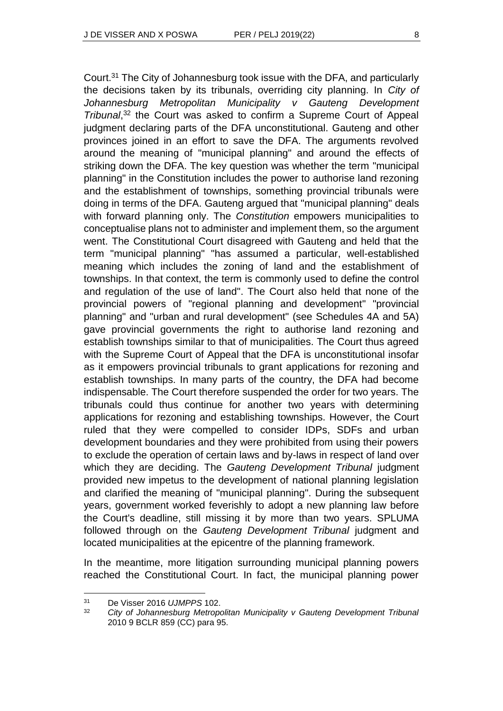Court.<sup>31</sup> The City of Johannesburg took issue with the DFA, and particularly the decisions taken by its tribunals, overriding city planning. In *City of Johannesburg Metropolitan Municipality v Gauteng Development Tribunal*, <sup>32</sup> the Court was asked to confirm a Supreme Court of Appeal judgment declaring parts of the DFA unconstitutional. Gauteng and other provinces joined in an effort to save the DFA. The arguments revolved around the meaning of "municipal planning" and around the effects of striking down the DFA. The key question was whether the term "municipal planning" in the Constitution includes the power to authorise land rezoning and the establishment of townships, something provincial tribunals were doing in terms of the DFA. Gauteng argued that "municipal planning" deals with forward planning only. The *Constitution* empowers municipalities to conceptualise plans not to administer and implement them, so the argument went. The Constitutional Court disagreed with Gauteng and held that the term "municipal planning" "has assumed a particular, well-established meaning which includes the zoning of land and the establishment of townships. In that context, the term is commonly used to define the control and regulation of the use of land". The Court also held that none of the provincial powers of "regional planning and development" "provincial planning" and "urban and rural development" (see Schedules 4A and 5A) gave provincial governments the right to authorise land rezoning and establish townships similar to that of municipalities. The Court thus agreed with the Supreme Court of Appeal that the DFA is unconstitutional insofar as it empowers provincial tribunals to grant applications for rezoning and establish townships. In many parts of the country, the DFA had become indispensable. The Court therefore suspended the order for two years. The tribunals could thus continue for another two years with determining applications for rezoning and establishing townships. However, the Court ruled that they were compelled to consider IDPs, SDFs and urban development boundaries and they were prohibited from using their powers to exclude the operation of certain laws and by-laws in respect of land over which they are deciding. The *Gauteng Development Tribunal* judgment provided new impetus to the development of national planning legislation and clarified the meaning of "municipal planning". During the subsequent years, government worked feverishly to adopt a new planning law before the Court's deadline, still missing it by more than two years. SPLUMA followed through on the *Gauteng Development Tribunal* judgment and located municipalities at the epicentre of the planning framework.

In the meantime, more litigation surrounding municipal planning powers reached the Constitutional Court. In fact, the municipal planning power

 $\overline{a}$ 

<sup>31</sup> De Visser 2016 *UJMPPS* 102.

<sup>32</sup> *City of Johannesburg Metropolitan Municipality v Gauteng Development Tribunal*  2010 9 BCLR 859 (CC) para 95.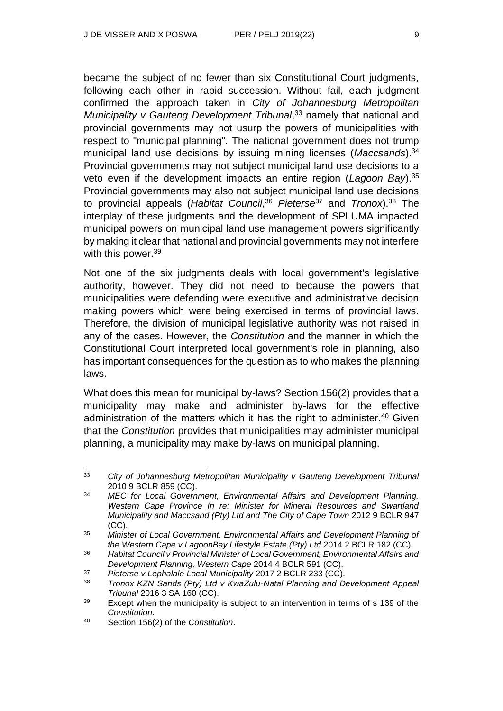became the subject of no fewer than six Constitutional Court judgments, following each other in rapid succession. Without fail, each judgment confirmed the approach taken in *City of Johannesburg Metropolitan*  Municipality v Gauteng Development Tribunal,<sup>33</sup> namely that national and provincial governments may not usurp the powers of municipalities with respect to "municipal planning". The national government does not trump municipal land use decisions by issuing mining licenses (*Maccsands*).<sup>34</sup> Provincial governments may not subject municipal land use decisions to a veto even if the development impacts an entire region (*Lagoon Bay*).<sup>35</sup> Provincial governments may also not subject municipal land use decisions to provincial appeals (*Habitat Council*, <sup>36</sup> *Pieterse*<sup>37</sup> and *Tronox*).<sup>38</sup> The interplay of these judgments and the development of SPLUMA impacted municipal powers on municipal land use management powers significantly by making it clear that national and provincial governments may not interfere with this power.<sup>39</sup>

Not one of the six judgments deals with local government's legislative authority, however. They did not need to because the powers that municipalities were defending were executive and administrative decision making powers which were being exercised in terms of provincial laws. Therefore, the division of municipal legislative authority was not raised in any of the cases. However, the *Constitution* and the manner in which the Constitutional Court interpreted local government's role in planning, also has important consequences for the question as to who makes the planning laws.

What does this mean for municipal by-laws? Section 156(2) provides that a municipality may make and administer by-laws for the effective administration of the matters which it has the right to administer.<sup>40</sup> Given that the *Constitution* provides that municipalities may administer municipal planning, a municipality may make by-laws on municipal planning.

l <sup>33</sup> *City of Johannesburg Metropolitan Municipality v Gauteng Development Tribunal* 2010 9 BCLR 859 (CC).

<sup>34</sup> *MEC for Local Government, Environmental Affairs and Development Planning, Western Cape Province In re: Minister for Mineral Resources and Swartland Municipality and Maccsand (Pty) Ltd and The City of Cape Town* 2012 9 BCLR 947 (CC).

<sup>35</sup> *Minister of Local Government, Environmental Affairs and Development Planning of the Western Cape v LagoonBay Lifestyle Estate (Pty) Ltd 2014 2 BCLR 182 (CC).* 

<sup>36</sup> *Habitat Council v Provincial Minister of Local Government, Environmental Affairs and Development Planning, Western Cape* 2014 4 BCLR 591 (CC).

<sup>37</sup> *Pieterse v Lephalale Local Municipality* 2017 2 BCLR 233 (CC).

<sup>38</sup> *Tronox KZN Sands (Pty) Ltd v KwaZulu-Natal Planning and Development Appeal Tribunal* 2016 3 SA 160 (CC).

<sup>&</sup>lt;sup>39</sup> Except when the municipality is subject to an intervention in terms of s 139 of the *Constitution*.

<sup>40</sup> Section 156(2) of the *Constitution*.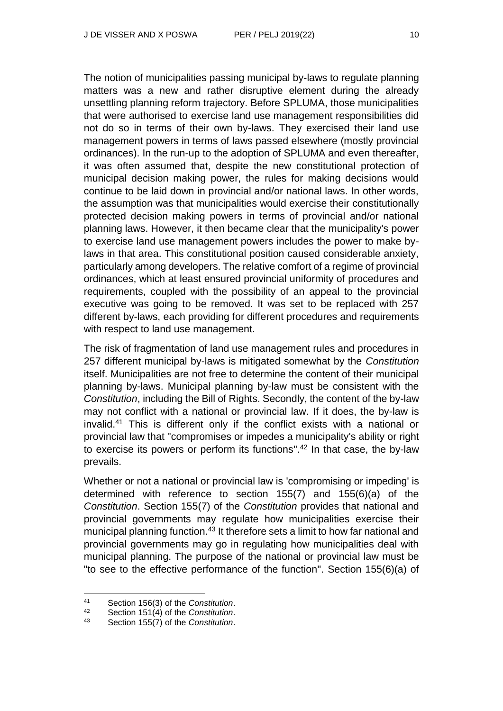The notion of municipalities passing municipal by-laws to regulate planning matters was a new and rather disruptive element during the already unsettling planning reform trajectory. Before SPLUMA, those municipalities that were authorised to exercise land use management responsibilities did not do so in terms of their own by-laws. They exercised their land use management powers in terms of laws passed elsewhere (mostly provincial ordinances). In the run-up to the adoption of SPLUMA and even thereafter, it was often assumed that, despite the new constitutional protection of municipal decision making power, the rules for making decisions would continue to be laid down in provincial and/or national laws. In other words, the assumption was that municipalities would exercise their constitutionally protected decision making powers in terms of provincial and/or national planning laws. However, it then became clear that the municipality's power to exercise land use management powers includes the power to make bylaws in that area. This constitutional position caused considerable anxiety, particularly among developers. The relative comfort of a regime of provincial ordinances, which at least ensured provincial uniformity of procedures and requirements, coupled with the possibility of an appeal to the provincial executive was going to be removed. It was set to be replaced with 257 different by-laws, each providing for different procedures and requirements with respect to land use management.

The risk of fragmentation of land use management rules and procedures in 257 different municipal by-laws is mitigated somewhat by the *Constitution* itself. Municipalities are not free to determine the content of their municipal planning by-laws. Municipal planning by-law must be consistent with the *Constitution*, including the Bill of Rights. Secondly, the content of the by-law may not conflict with a national or provincial law. If it does, the by-law is invalid.<sup>41</sup> This is different only if the conflict exists with a national or provincial law that "compromises or impedes a municipality's ability or right to exercise its powers or perform its functions". <sup>42</sup> In that case, the by-law prevails.

Whether or not a national or provincial law is 'compromising or impeding' is determined with reference to section 155(7) and 155(6)(a) of the *Constitution*. Section 155(7) of the *Constitution* provides that national and provincial governments may regulate how municipalities exercise their municipal planning function.<sup>43</sup> It therefore sets a limit to how far national and provincial governments may go in regulating how municipalities deal with municipal planning. The purpose of the national or provincial law must be "to see to the effective performance of the function". Section 155(6)(a) of

 $\overline{a}$ 

<sup>41</sup> Section 156(3) of the *Constitution*.

Section 151(4) of the *Constitution*.

<sup>43</sup> Section 155(7) of the *Constitution*.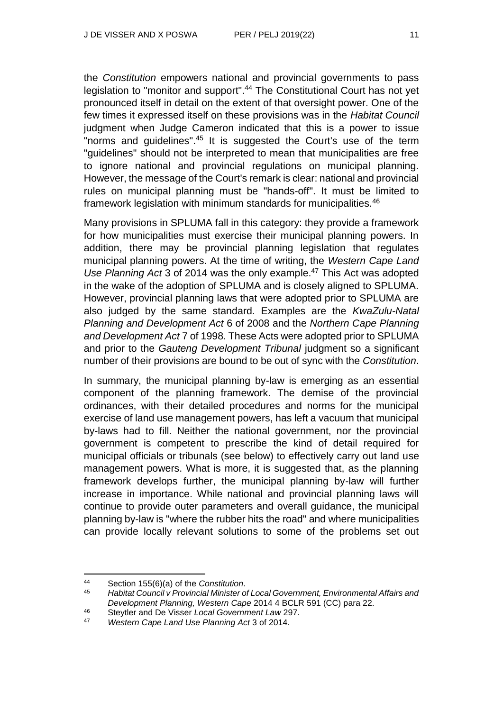the *Constitution* empowers national and provincial governments to pass legislation to "monitor and support". <sup>44</sup> The Constitutional Court has not yet pronounced itself in detail on the extent of that oversight power. One of the few times it expressed itself on these provisions was in the *Habitat Council* judgment when Judge Cameron indicated that this is a power to issue "norms and guidelines".<sup>45</sup> It is suggested the Court's use of the term "guidelines" should not be interpreted to mean that municipalities are free to ignore national and provincial regulations on municipal planning. However, the message of the Court's remark is clear: national and provincial rules on municipal planning must be "hands-off". It must be limited to framework legislation with minimum standards for municipalities.<sup>46</sup>

Many provisions in SPLUMA fall in this category: they provide a framework for how municipalities must exercise their municipal planning powers. In addition, there may be provincial planning legislation that regulates municipal planning powers. At the time of writing, the *Western Cape Land Use Planning Act* 3 of 2014 was the only example.<sup>47</sup> This Act was adopted in the wake of the adoption of SPLUMA and is closely aligned to SPLUMA. However, provincial planning laws that were adopted prior to SPLUMA are also judged by the same standard. Examples are the *KwaZulu-Natal Planning and Development Act* 6 of 2008 and the *Northern Cape Planning and Development Act* 7 of 1998. These Acts were adopted prior to SPLUMA and prior to the *Gauteng Development Tribunal* judgment so a significant number of their provisions are bound to be out of sync with the *Constitution*.

In summary, the municipal planning by-law is emerging as an essential component of the planning framework. The demise of the provincial ordinances, with their detailed procedures and norms for the municipal exercise of land use management powers, has left a vacuum that municipal by-laws had to fill. Neither the national government, nor the provincial government is competent to prescribe the kind of detail required for municipal officials or tribunals (see below) to effectively carry out land use management powers. What is more, it is suggested that, as the planning framework develops further, the municipal planning by-law will further increase in importance. While national and provincial planning laws will continue to provide outer parameters and overall guidance, the municipal planning by-law is "where the rubber hits the road" and where municipalities can provide locally relevant solutions to some of the problems set out

l <sup>44</sup> Section 155(6)(a) of the *Constitution*.

<sup>45</sup> *Habitat Council v Provincial Minister of Local Government, Environmental Affairs and Development Planning, Western Cape* 2014 4 BCLR 591 (CC) para 22.

<sup>46</sup> Steytler and De Visser *Local Government Law* 297.

<sup>47</sup> *Western Cape Land Use Planning Act* 3 of 2014.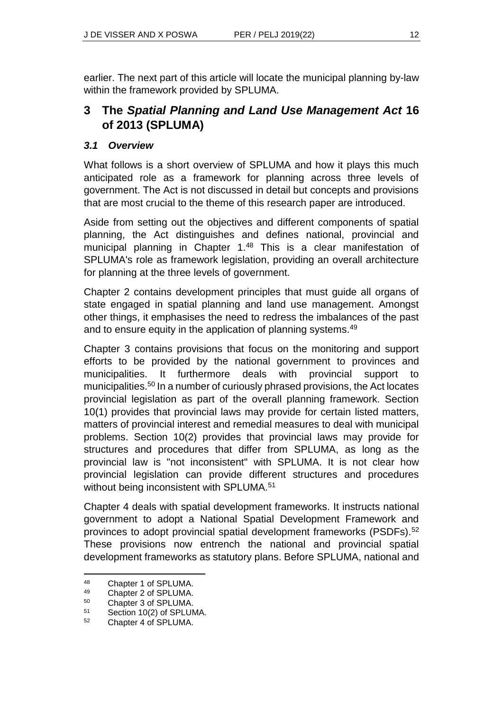earlier. The next part of this article will locate the municipal planning by-law within the framework provided by SPLUMA.

# **3 The** *Spatial Planning and Land Use Management Act* **16 of 2013 (SPLUMA)**

#### *3.1 Overview*

What follows is a short overview of SPLUMA and how it plays this much anticipated role as a framework for planning across three levels of government. The Act is not discussed in detail but concepts and provisions that are most crucial to the theme of this research paper are introduced.

Aside from setting out the objectives and different components of spatial planning, the Act distinguishes and defines national, provincial and municipal planning in Chapter 1.<sup>48</sup> This is a clear manifestation of SPLUMA's role as framework legislation, providing an overall architecture for planning at the three levels of government.

Chapter 2 contains development principles that must guide all organs of state engaged in spatial planning and land use management. Amongst other things, it emphasises the need to redress the imbalances of the past and to ensure equity in the application of planning systems.<sup>49</sup>

Chapter 3 contains provisions that focus on the monitoring and support efforts to be provided by the national government to provinces and municipalities. It furthermore deals with provincial support to municipalities.<sup>50</sup> In a number of curiously phrased provisions, the Act locates provincial legislation as part of the overall planning framework. Section 10(1) provides that provincial laws may provide for certain listed matters, matters of provincial interest and remedial measures to deal with municipal problems. Section 10(2) provides that provincial laws may provide for structures and procedures that differ from SPLUMA, as long as the provincial law is "not inconsistent" with SPLUMA. It is not clear how provincial legislation can provide different structures and procedures without being inconsistent with SPLUMA.<sup>51</sup>

Chapter 4 deals with spatial development frameworks. It instructs national government to adopt a National Spatial Development Framework and provinces to adopt provincial spatial development frameworks (PSDFs).<sup>52</sup> These provisions now entrench the national and provincial spatial development frameworks as statutory plans. Before SPLUMA, national and

<sup>48</sup> Chapter 1 of SPLUMA.

<sup>49</sup> Chapter 2 of SPLUMA.

<sup>50</sup> Chapter 3 of SPLUMA.

<sup>51</sup> Section 10(2) of SPLUMA.

<sup>52</sup> Chapter 4 of SPLUMA.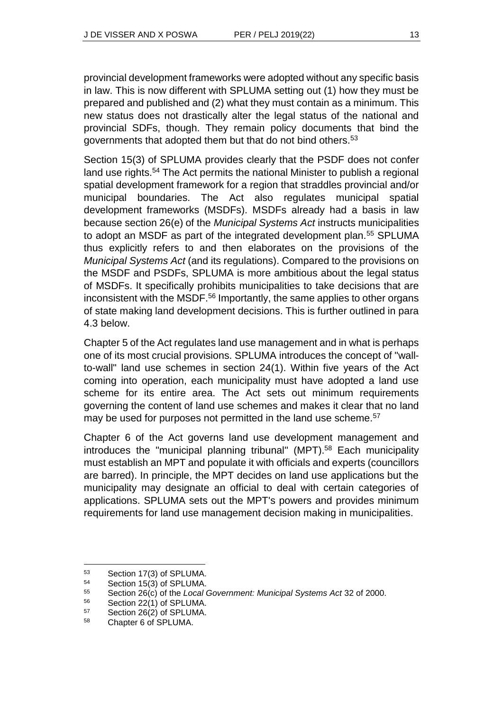provincial development frameworks were adopted without any specific basis in law. This is now different with SPLUMA setting out (1) how they must be prepared and published and (2) what they must contain as a minimum. This new status does not drastically alter the legal status of the national and provincial SDFs, though. They remain policy documents that bind the governments that adopted them but that do not bind others.<sup>53</sup>

Section 15(3) of SPLUMA provides clearly that the PSDF does not confer land use rights.<sup>54</sup> The Act permits the national Minister to publish a regional spatial development framework for a region that straddles provincial and/or municipal boundaries. The Act also regulates municipal spatial development frameworks (MSDFs). MSDFs already had a basis in law because section 26(e) of the *Municipal Systems Act* instructs municipalities to adopt an MSDF as part of the integrated development plan.<sup>55</sup> SPLUMA thus explicitly refers to and then elaborates on the provisions of the *Municipal Systems Act* (and its regulations). Compared to the provisions on the MSDF and PSDFs, SPLUMA is more ambitious about the legal status of MSDFs. It specifically prohibits municipalities to take decisions that are inconsistent with the MSDF.<sup>56</sup> Importantly, the same applies to other organs of state making land development decisions. This is further outlined in para 4.3 below.

Chapter 5 of the Act regulates land use management and in what is perhaps one of its most crucial provisions. SPLUMA introduces the concept of "wallto-wall" land use schemes in section 24(1). Within five years of the Act coming into operation, each municipality must have adopted a land use scheme for its entire area. The Act sets out minimum requirements governing the content of land use schemes and makes it clear that no land may be used for purposes not permitted in the land use scheme.<sup>57</sup>

Chapter 6 of the Act governs land use development management and introduces the "municipal planning tribunal" (MPT).<sup>58</sup> Each municipality must establish an MPT and populate it with officials and experts (councillors are barred). In principle, the MPT decides on land use applications but the municipality may designate an official to deal with certain categories of applications. SPLUMA sets out the MPT's powers and provides minimum requirements for land use management decision making in municipalities.

<sup>53</sup> Section 17(3) of SPLUMA.

<sup>54</sup> Section 15(3) of SPLUMA.

<sup>55</sup> Section 26(c) of the *Local Government: Municipal Systems Act* 32 of 2000.

<sup>56</sup> Section 22(1) of SPLUMA.

<sup>57</sup> Section 26(2) of SPLUMA.

<sup>58</sup> Chapter 6 of SPLUMA.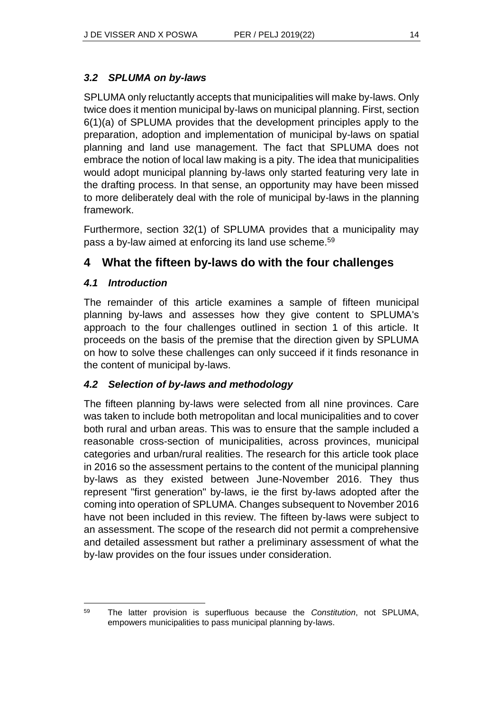### *3.2 SPLUMA on by-laws*

SPLUMA only reluctantly accepts that municipalities will make by-laws. Only twice does it mention municipal by-laws on municipal planning. First, section 6(1)(a) of SPLUMA provides that the development principles apply to the preparation, adoption and implementation of municipal by-laws on spatial planning and land use management. The fact that SPLUMA does not embrace the notion of local law making is a pity. The idea that municipalities would adopt municipal planning by-laws only started featuring very late in the drafting process. In that sense, an opportunity may have been missed to more deliberately deal with the role of municipal by-laws in the planning framework.

Furthermore, section 32(1) of SPLUMA provides that a municipality may pass a by-law aimed at enforcing its land use scheme.<sup>59</sup>

# **4 What the fifteen by-laws do with the four challenges**

### *4.1 Introduction*

The remainder of this article examines a sample of fifteen municipal planning by-laws and assesses how they give content to SPLUMA's approach to the four challenges outlined in section 1 of this article. It proceeds on the basis of the premise that the direction given by SPLUMA on how to solve these challenges can only succeed if it finds resonance in the content of municipal by-laws.

### *4.2 Selection of by-laws and methodology*

The fifteen planning by-laws were selected from all nine provinces. Care was taken to include both metropolitan and local municipalities and to cover both rural and urban areas. This was to ensure that the sample included a reasonable cross-section of municipalities, across provinces, municipal categories and urban/rural realities. The research for this article took place in 2016 so the assessment pertains to the content of the municipal planning by-laws as they existed between June-November 2016. They thus represent "first generation" by-laws, ie the first by-laws adopted after the coming into operation of SPLUMA. Changes subsequent to November 2016 have not been included in this review. The fifteen by-laws were subject to an assessment. The scope of the research did not permit a comprehensive and detailed assessment but rather a preliminary assessment of what the by-law provides on the four issues under consideration.

l <sup>59</sup> The latter provision is superfluous because the *Constitution*, not SPLUMA, empowers municipalities to pass municipal planning by-laws.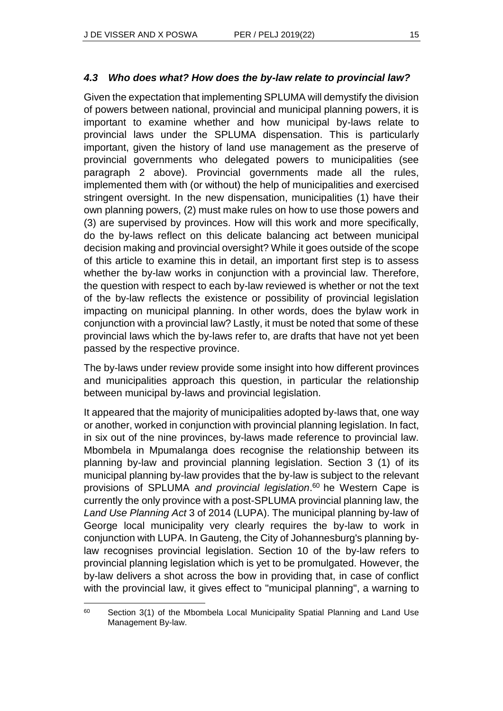#### *4.3 Who does what? How does the by-law relate to provincial law?*

Given the expectation that implementing SPLUMA will demystify the division of powers between national, provincial and municipal planning powers, it is important to examine whether and how municipal by-laws relate to provincial laws under the SPLUMA dispensation. This is particularly important, given the history of land use management as the preserve of provincial governments who delegated powers to municipalities (see paragraph 2 above). Provincial governments made all the rules, implemented them with (or without) the help of municipalities and exercised stringent oversight. In the new dispensation, municipalities (1) have their own planning powers, (2) must make rules on how to use those powers and (3) are supervised by provinces. How will this work and more specifically, do the by-laws reflect on this delicate balancing act between municipal decision making and provincial oversight? While it goes outside of the scope of this article to examine this in detail, an important first step is to assess whether the by-law works in conjunction with a provincial law. Therefore, the question with respect to each by-law reviewed is whether or not the text of the by-law reflects the existence or possibility of provincial legislation impacting on municipal planning. In other words, does the bylaw work in conjunction with a provincial law? Lastly, it must be noted that some of these provincial laws which the by-laws refer to, are drafts that have not yet been passed by the respective province.

The by-laws under review provide some insight into how different provinces and municipalities approach this question, in particular the relationship between municipal by-laws and provincial legislation.

It appeared that the majority of municipalities adopted by-laws that, one way or another, worked in conjunction with provincial planning legislation. In fact, in six out of the nine provinces, by-laws made reference to provincial law. Mbombela in Mpumalanga does recognise the relationship between its planning by-law and provincial planning legislation. Section 3 (1) of its municipal planning by-law provides that the by-law is subject to the relevant provisions of SPLUMA *and provincial legislation*. <sup>60</sup> he Western Cape is currently the only province with a post-SPLUMA provincial planning law, the *Land Use Planning Act* 3 of 2014 (LUPA). The municipal planning by-law of George local municipality very clearly requires the by-law to work in conjunction with LUPA. In Gauteng, the City of Johannesburg's planning bylaw recognises provincial legislation. Section 10 of the by-law refers to provincial planning legislation which is yet to be promulgated. However, the by-law delivers a shot across the bow in providing that, in case of conflict with the provincial law, it gives effect to "municipal planning", a warning to

<sup>&</sup>lt;sup>60</sup> Section 3(1) of the Mbombela Local Municipality Spatial Planning and Land Use Management By-law.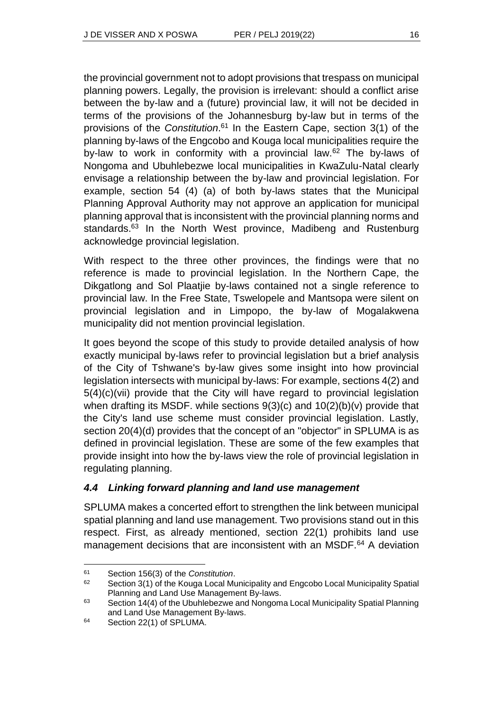the provincial government not to adopt provisions that trespass on municipal planning powers. Legally, the provision is irrelevant: should a conflict arise between the by-law and a (future) provincial law, it will not be decided in terms of the provisions of the Johannesburg by-law but in terms of the provisions of the *Constitution*. <sup>61</sup> In the Eastern Cape, section 3(1) of the planning by-laws of the Engcobo and Kouga local municipalities require the by-law to work in conformity with a provincial law.<sup>62</sup> The by-laws of Nongoma and Ubuhlebezwe local municipalities in KwaZulu-Natal clearly envisage a relationship between the by-law and provincial legislation. For example, section 54 (4) (a) of both by-laws states that the Municipal Planning Approval Authority may not approve an application for municipal planning approval that is inconsistent with the provincial planning norms and standards.<sup>63</sup> In the North West province, Madibeng and Rustenburg acknowledge provincial legislation.

With respect to the three other provinces, the findings were that no reference is made to provincial legislation. In the Northern Cape, the Dikgatlong and Sol Plaatjie by-laws contained not a single reference to provincial law. In the Free State, Tswelopele and Mantsopa were silent on provincial legislation and in Limpopo, the by-law of Mogalakwena municipality did not mention provincial legislation.

It goes beyond the scope of this study to provide detailed analysis of how exactly municipal by-laws refer to provincial legislation but a brief analysis of the City of Tshwane's by-law gives some insight into how provincial legislation intersects with municipal by-laws: For example, sections 4(2) and 5(4)(c)(vii) provide that the City will have regard to provincial legislation when drafting its MSDF. while sections  $9(3)(c)$  and  $10(2)(b)(v)$  provide that the City's land use scheme must consider provincial legislation. Lastly, section 20(4)(d) provides that the concept of an "objector" in SPLUMA is as defined in provincial legislation. These are some of the few examples that provide insight into how the by-laws view the role of provincial legislation in regulating planning.

### *4.4 Linking forward planning and land use management*

SPLUMA makes a concerted effort to strengthen the link between municipal spatial planning and land use management. Two provisions stand out in this respect. First, as already mentioned, section 22(1) prohibits land use management decisions that are inconsistent with an MSDF.<sup>64</sup> A deviation

<sup>61</sup> Section 156(3) of the *Constitution*.

<sup>62</sup> Section 3(1) of the Kouga Local Municipality and Engcobo Local Municipality Spatial Planning and Land Use Management By-laws.

<sup>&</sup>lt;sup>63</sup> Section 14(4) of the Ubuhlebezwe and Nongoma Local Municipality Spatial Planning and Land Use Management By-laws.

<sup>64</sup> Section 22(1) of SPLUMA.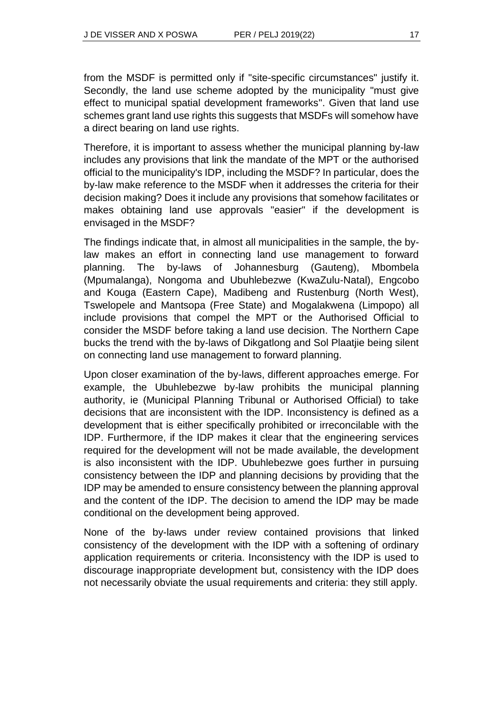from the MSDF is permitted only if "site-specific circumstances" justify it. Secondly, the land use scheme adopted by the municipality "must give effect to municipal spatial development frameworks". Given that land use schemes grant land use rights this suggests that MSDFs will somehow have a direct bearing on land use rights.

Therefore, it is important to assess whether the municipal planning by-law includes any provisions that link the mandate of the MPT or the authorised official to the municipality's IDP, including the MSDF? In particular, does the by-law make reference to the MSDF when it addresses the criteria for their decision making? Does it include any provisions that somehow facilitates or makes obtaining land use approvals "easier" if the development is envisaged in the MSDF?

The findings indicate that, in almost all municipalities in the sample, the bylaw makes an effort in connecting land use management to forward planning. The by-laws of Johannesburg (Gauteng), Mbombela (Mpumalanga), Nongoma and Ubuhlebezwe (KwaZulu-Natal), Engcobo and Kouga (Eastern Cape), Madibeng and Rustenburg (North West), Tswelopele and Mantsopa (Free State) and Mogalakwena (Limpopo) all include provisions that compel the MPT or the Authorised Official to consider the MSDF before taking a land use decision. The Northern Cape bucks the trend with the by-laws of Dikgatlong and Sol Plaatjie being silent on connecting land use management to forward planning.

Upon closer examination of the by-laws, different approaches emerge. For example, the Ubuhlebezwe by-law prohibits the municipal planning authority, ie (Municipal Planning Tribunal or Authorised Official) to take decisions that are inconsistent with the IDP. Inconsistency is defined as a development that is either specifically prohibited or irreconcilable with the IDP. Furthermore, if the IDP makes it clear that the engineering services required for the development will not be made available, the development is also inconsistent with the IDP. Ubuhlebezwe goes further in pursuing consistency between the IDP and planning decisions by providing that the IDP may be amended to ensure consistency between the planning approval and the content of the IDP. The decision to amend the IDP may be made conditional on the development being approved.

None of the by-laws under review contained provisions that linked consistency of the development with the IDP with a softening of ordinary application requirements or criteria. Inconsistency with the IDP is used to discourage inappropriate development but, consistency with the IDP does not necessarily obviate the usual requirements and criteria: they still apply.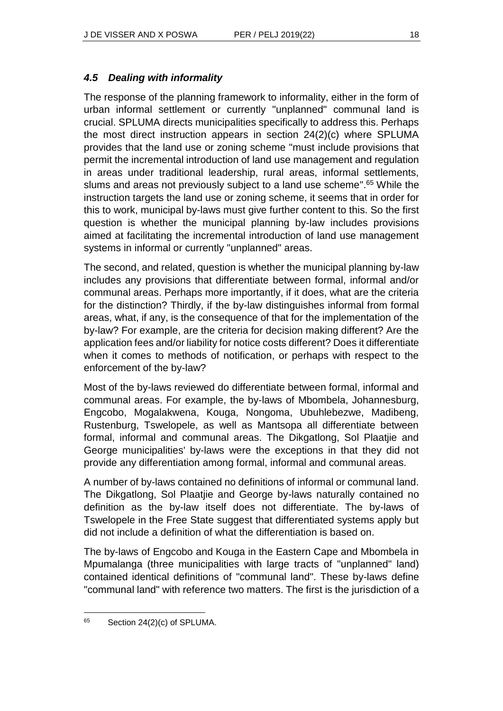### *4.5 Dealing with informality*

The response of the planning framework to informality, either in the form of urban informal settlement or currently "unplanned" communal land is crucial. SPLUMA directs municipalities specifically to address this. Perhaps the most direct instruction appears in section 24(2)(c) where SPLUMA provides that the land use or zoning scheme "must include provisions that permit the incremental introduction of land use management and regulation in areas under traditional leadership, rural areas, informal settlements, slums and areas not previously subject to a land use scheme".<sup>65</sup> While the instruction targets the land use or zoning scheme, it seems that in order for this to work, municipal by-laws must give further content to this. So the first question is whether the municipal planning by-law includes provisions aimed at facilitating the incremental introduction of land use management systems in informal or currently "unplanned" areas.

The second, and related, question is whether the municipal planning by-law includes any provisions that differentiate between formal, informal and/or communal areas. Perhaps more importantly, if it does, what are the criteria for the distinction? Thirdly, if the by-law distinguishes informal from formal areas, what, if any, is the consequence of that for the implementation of the by-law? For example, are the criteria for decision making different? Are the application fees and/or liability for notice costs different? Does it differentiate when it comes to methods of notification, or perhaps with respect to the enforcement of the by-law?

Most of the by-laws reviewed do differentiate between formal, informal and communal areas. For example, the by-laws of Mbombela, Johannesburg, Engcobo, Mogalakwena, Kouga, Nongoma, Ubuhlebezwe, Madibeng, Rustenburg, Tswelopele, as well as Mantsopa all differentiate between formal, informal and communal areas. The Dikgatlong, Sol Plaatjie and George municipalities' by-laws were the exceptions in that they did not provide any differentiation among formal, informal and communal areas.

A number of by-laws contained no definitions of informal or communal land. The Dikgatlong, Sol Plaatjie and George by-laws naturally contained no definition as the by-law itself does not differentiate. The by-laws of Tswelopele in the Free State suggest that differentiated systems apply but did not include a definition of what the differentiation is based on.

The by-laws of Engcobo and Kouga in the Eastern Cape and Mbombela in Mpumalanga (three municipalities with large tracts of "unplanned" land) contained identical definitions of "communal land". These by-laws define "communal land" with reference two matters. The first is the jurisdiction of a

 $65$  Section 24(2)(c) of SPLUMA.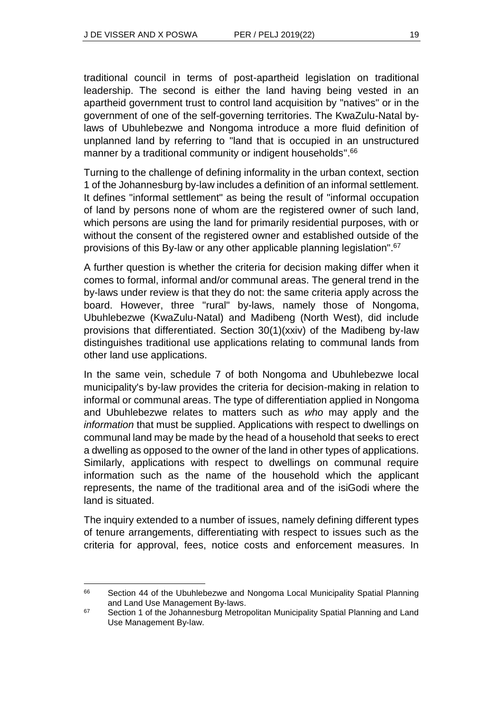l

traditional council in terms of post-apartheid legislation on traditional leadership. The second is either the land having being vested in an apartheid government trust to control land acquisition by "natives" or in the government of one of the self-governing territories. The KwaZulu-Natal bylaws of Ubuhlebezwe and Nongoma introduce a more fluid definition of unplanned land by referring to "land that is occupied in an unstructured manner by a traditional community or indigent households".<sup>66</sup>

Turning to the challenge of defining informality in the urban context, section 1 of the Johannesburg by-law includes a definition of an informal settlement. It defines "informal settlement" as being the result of "informal occupation of land by persons none of whom are the registered owner of such land, which persons are using the land for primarily residential purposes, with or without the consent of the registered owner and established outside of the provisions of this By-law or any other applicable planning legislation". 67

A further question is whether the criteria for decision making differ when it comes to formal, informal and/or communal areas. The general trend in the by-laws under review is that they do not: the same criteria apply across the board. However, three "rural" by-laws, namely those of Nongoma, Ubuhlebezwe (KwaZulu-Natal) and Madibeng (North West), did include provisions that differentiated. Section 30(1)(xxiv) of the Madibeng by-law distinguishes traditional use applications relating to communal lands from other land use applications.

In the same vein, schedule 7 of both Nongoma and Ubuhlebezwe local municipality's by-law provides the criteria for decision-making in relation to informal or communal areas. The type of differentiation applied in Nongoma and Ubuhlebezwe relates to matters such as *who* may apply and the *information* that must be supplied. Applications with respect to dwellings on communal land may be made by the head of a household that seeks to erect a dwelling as opposed to the owner of the land in other types of applications. Similarly, applications with respect to dwellings on communal require information such as the name of the household which the applicant represents, the name of the traditional area and of the isiGodi where the land is situated.

The inquiry extended to a number of issues, namely defining different types of tenure arrangements, differentiating with respect to issues such as the criteria for approval, fees, notice costs and enforcement measures. In

<sup>&</sup>lt;sup>66</sup> Section 44 of the Ubuhlebezwe and Nongoma Local Municipality Spatial Planning and Land Use Management By-laws.

<sup>&</sup>lt;sup>67</sup> Section 1 of the Johannesburg Metropolitan Municipality Spatial Planning and Land Use Management By-law.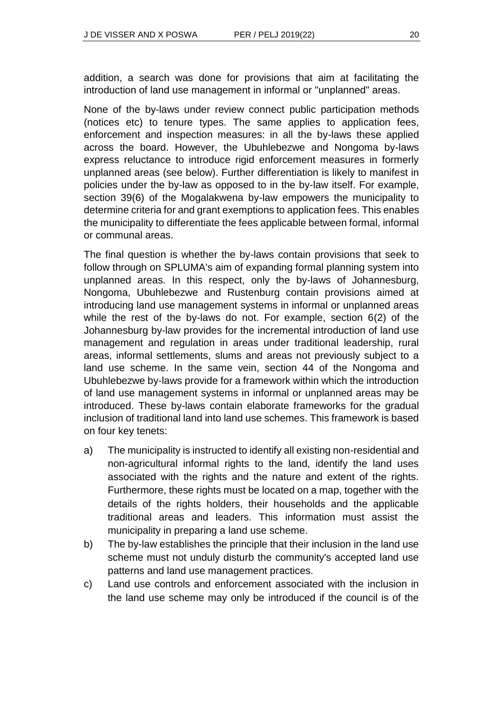addition, a search was done for provisions that aim at facilitating the introduction of land use management in informal or "unplanned" areas.

None of the by-laws under review connect public participation methods (notices etc) to tenure types. The same applies to application fees, enforcement and inspection measures: in all the by-laws these applied across the board. However, the Ubuhlebezwe and Nongoma by-laws express reluctance to introduce rigid enforcement measures in formerly unplanned areas (see below). Further differentiation is likely to manifest in policies under the by-law as opposed to in the by-law itself. For example, section 39(6) of the Mogalakwena by-law empowers the municipality to determine criteria for and grant exemptions to application fees. This enables the municipality to differentiate the fees applicable between formal, informal or communal areas.

The final question is whether the by-laws contain provisions that seek to follow through on SPLUMA's aim of expanding formal planning system into unplanned areas. In this respect, only the by-laws of Johannesburg, Nongoma, Ubuhlebezwe and Rustenburg contain provisions aimed at introducing land use management systems in informal or unplanned areas while the rest of the by-laws do not. For example, section 6(2) of the Johannesburg by-law provides for the incremental introduction of land use management and regulation in areas under traditional leadership, rural areas, informal settlements, slums and areas not previously subject to a land use scheme. In the same vein, section 44 of the Nongoma and Ubuhlebezwe by-laws provide for a framework within which the introduction of land use management systems in informal or unplanned areas may be introduced. These by-laws contain elaborate frameworks for the gradual inclusion of traditional land into land use schemes. This framework is based on four key tenets:

- a) The municipality is instructed to identify all existing non-residential and non-agricultural informal rights to the land, identify the land uses associated with the rights and the nature and extent of the rights. Furthermore, these rights must be located on a map, together with the details of the rights holders, their households and the applicable traditional areas and leaders. This information must assist the municipality in preparing a land use scheme.
- b) The by-law establishes the principle that their inclusion in the land use scheme must not unduly disturb the community's accepted land use patterns and land use management practices.
- c) Land use controls and enforcement associated with the inclusion in the land use scheme may only be introduced if the council is of the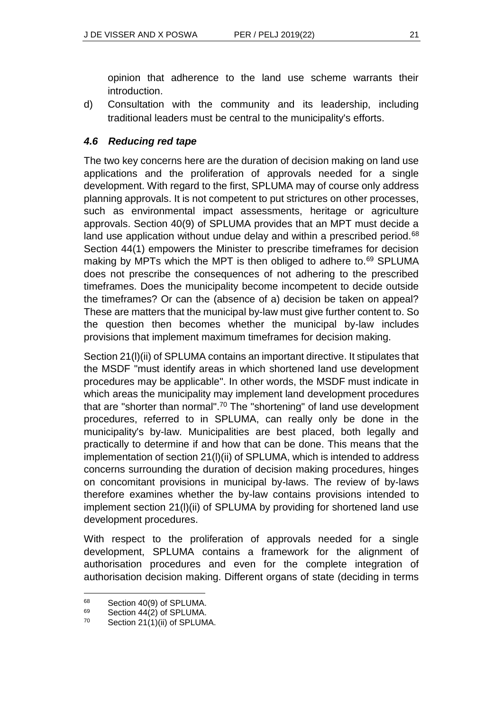opinion that adherence to the land use scheme warrants their introduction.

d) Consultation with the community and its leadership, including traditional leaders must be central to the municipality's efforts.

### *4.6 Reducing red tape*

The two key concerns here are the duration of decision making on land use applications and the proliferation of approvals needed for a single development. With regard to the first, SPLUMA may of course only address planning approvals. It is not competent to put strictures on other processes, such as environmental impact assessments, heritage or agriculture approvals. Section 40(9) of SPLUMA provides that an MPT must decide a land use application without undue delay and within a prescribed period.<sup>68</sup> Section 44(1) empowers the Minister to prescribe timeframes for decision making by MPTs which the MPT is then obliged to adhere to.<sup>69</sup> SPLUMA does not prescribe the consequences of not adhering to the prescribed timeframes. Does the municipality become incompetent to decide outside the timeframes? Or can the (absence of a) decision be taken on appeal? These are matters that the municipal by-law must give further content to. So the question then becomes whether the municipal by-law includes provisions that implement maximum timeframes for decision making.

Section 21(l)(ii) of SPLUMA contains an important directive. It stipulates that the MSDF "must identify areas in which shortened land use development procedures may be applicable". In other words, the MSDF must indicate in which areas the municipality may implement land development procedures that are "shorter than normal".<sup>70</sup> The "shortening" of land use development procedures, referred to in SPLUMA, can really only be done in the municipality's by-law. Municipalities are best placed, both legally and practically to determine if and how that can be done. This means that the implementation of section 21(l)(ii) of SPLUMA, which is intended to address concerns surrounding the duration of decision making procedures, hinges on concomitant provisions in municipal by-laws. The review of by-laws therefore examines whether the by-law contains provisions intended to implement section 21(l)(ii) of SPLUMA by providing for shortened land use development procedures.

With respect to the proliferation of approvals needed for a single development, SPLUMA contains a framework for the alignment of authorisation procedures and even for the complete integration of authorisation decision making. Different organs of state (deciding in terms

 $\overline{a}$ 

 $^{68}$  Section 40(9) of SPLUMA.<br> $^{69}$  Section 44(2) of SPLUMA

Section 44(2) of SPLUMA.

 $70$  Section 21(1)(ii) of SPLUMA.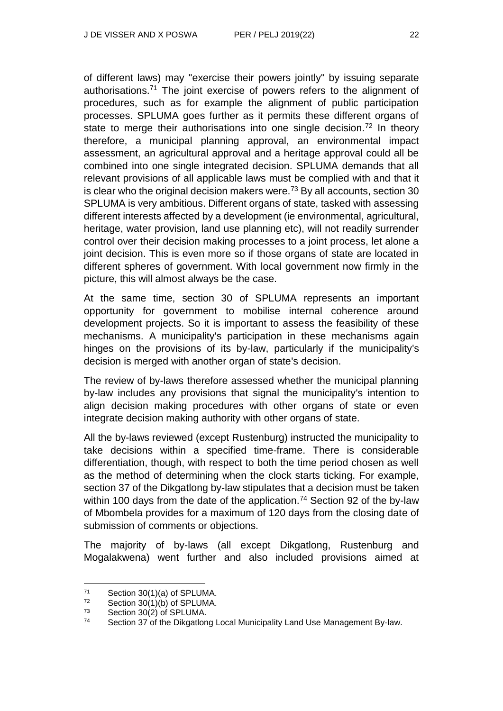of different laws) may "exercise their powers jointly" by issuing separate authorisations.<sup>71</sup> The joint exercise of powers refers to the alignment of procedures, such as for example the alignment of public participation processes. SPLUMA goes further as it permits these different organs of state to merge their authorisations into one single decision.<sup>72</sup> In theory therefore, a municipal planning approval, an environmental impact assessment, an agricultural approval and a heritage approval could all be combined into one single integrated decision. SPLUMA demands that all relevant provisions of all applicable laws must be complied with and that it is clear who the original decision makers were.<sup>73</sup> By all accounts, section 30 SPLUMA is very ambitious. Different organs of state, tasked with assessing different interests affected by a development (ie environmental, agricultural, heritage, water provision, land use planning etc), will not readily surrender control over their decision making processes to a joint process, let alone a joint decision. This is even more so if those organs of state are located in different spheres of government. With local government now firmly in the picture, this will almost always be the case.

At the same time, section 30 of SPLUMA represents an important opportunity for government to mobilise internal coherence around development projects. So it is important to assess the feasibility of these mechanisms. A municipality's participation in these mechanisms again hinges on the provisions of its by-law, particularly if the municipality's decision is merged with another organ of state's decision.

The review of by-laws therefore assessed whether the municipal planning by-law includes any provisions that signal the municipality's intention to align decision making procedures with other organs of state or even integrate decision making authority with other organs of state.

All the by-laws reviewed (except Rustenburg) instructed the municipality to take decisions within a specified time-frame. There is considerable differentiation, though, with respect to both the time period chosen as well as the method of determining when the clock starts ticking. For example, section 37 of the Dikgatlong by-law stipulates that a decision must be taken within 100 days from the date of the application.<sup>74</sup> Section 92 of the by-law of Mbombela provides for a maximum of 120 days from the closing date of submission of comments or objections.

The majority of by-laws (all except Dikgatlong, Rustenburg and Mogalakwena) went further and also included provisions aimed at

 $^{71}$  Section 30(1)(a) of SPLUMA.<br> $^{72}$  Section 30(1)(b) of SPLUMA

Section 30(1)(b) of SPLUMA.

<sup>73</sup> Section 30(2) of SPLUMA.

<sup>74</sup> Section 37 of the Dikgatlong Local Municipality Land Use Management By-law.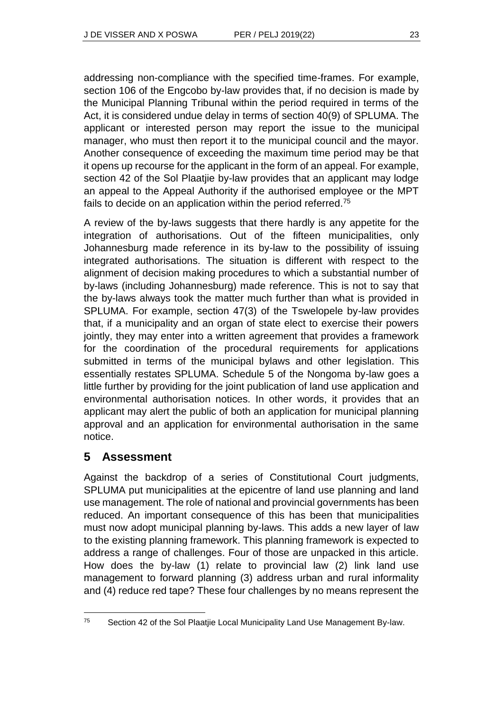addressing non-compliance with the specified time-frames. For example, section 106 of the Engcobo by-law provides that, if no decision is made by the Municipal Planning Tribunal within the period required in terms of the Act, it is considered undue delay in terms of section 40(9) of SPLUMA. The applicant or interested person may report the issue to the municipal manager, who must then report it to the municipal council and the mayor. Another consequence of exceeding the maximum time period may be that it opens up recourse for the applicant in the form of an appeal. For example, section 42 of the Sol Plaatjie by-law provides that an applicant may lodge an appeal to the Appeal Authority if the authorised employee or the MPT fails to decide on an application within the period referred.<sup>75</sup>

A review of the by-laws suggests that there hardly is any appetite for the integration of authorisations. Out of the fifteen municipalities, only Johannesburg made reference in its by-law to the possibility of issuing integrated authorisations. The situation is different with respect to the alignment of decision making procedures to which a substantial number of by-laws (including Johannesburg) made reference. This is not to say that the by-laws always took the matter much further than what is provided in SPLUMA. For example, section 47(3) of the Tswelopele by-law provides that, if a municipality and an organ of state elect to exercise their powers jointly, they may enter into a written agreement that provides a framework for the coordination of the procedural requirements for applications submitted in terms of the municipal bylaws and other legislation. This essentially restates SPLUMA. Schedule 5 of the Nongoma by-law goes a little further by providing for the joint publication of land use application and environmental authorisation notices. In other words, it provides that an applicant may alert the public of both an application for municipal planning approval and an application for environmental authorisation in the same notice.

### **5 Assessment**

l

Against the backdrop of a series of Constitutional Court judgments, SPLUMA put municipalities at the epicentre of land use planning and land use management. The role of national and provincial governments has been reduced. An important consequence of this has been that municipalities must now adopt municipal planning by-laws. This adds a new layer of law to the existing planning framework. This planning framework is expected to address a range of challenges. Four of those are unpacked in this article. How does the by-law (1) relate to provincial law (2) link land use management to forward planning (3) address urban and rural informality and (4) reduce red tape? These four challenges by no means represent the

<sup>&</sup>lt;sup>75</sup> Section 42 of the Sol Plaatjie Local Municipality Land Use Management By-law.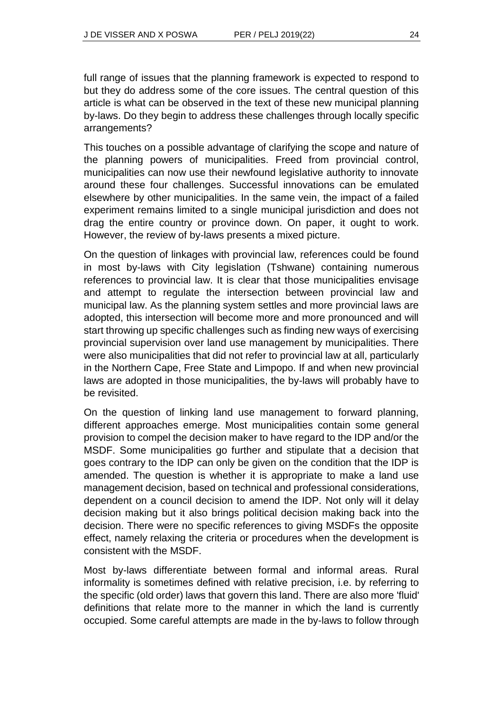full range of issues that the planning framework is expected to respond to but they do address some of the core issues. The central question of this article is what can be observed in the text of these new municipal planning by-laws. Do they begin to address these challenges through locally specific arrangements?

This touches on a possible advantage of clarifying the scope and nature of the planning powers of municipalities. Freed from provincial control, municipalities can now use their newfound legislative authority to innovate around these four challenges. Successful innovations can be emulated elsewhere by other municipalities. In the same vein, the impact of a failed experiment remains limited to a single municipal jurisdiction and does not drag the entire country or province down. On paper, it ought to work. However, the review of by-laws presents a mixed picture.

On the question of linkages with provincial law, references could be found in most by-laws with City legislation (Tshwane) containing numerous references to provincial law. It is clear that those municipalities envisage and attempt to regulate the intersection between provincial law and municipal law. As the planning system settles and more provincial laws are adopted, this intersection will become more and more pronounced and will start throwing up specific challenges such as finding new ways of exercising provincial supervision over land use management by municipalities. There were also municipalities that did not refer to provincial law at all, particularly in the Northern Cape, Free State and Limpopo. If and when new provincial laws are adopted in those municipalities, the by-laws will probably have to be revisited.

On the question of linking land use management to forward planning, different approaches emerge. Most municipalities contain some general provision to compel the decision maker to have regard to the IDP and/or the MSDF. Some municipalities go further and stipulate that a decision that goes contrary to the IDP can only be given on the condition that the IDP is amended. The question is whether it is appropriate to make a land use management decision, based on technical and professional considerations, dependent on a council decision to amend the IDP. Not only will it delay decision making but it also brings political decision making back into the decision. There were no specific references to giving MSDFs the opposite effect, namely relaxing the criteria or procedures when the development is consistent with the MSDF.

Most by-laws differentiate between formal and informal areas. Rural informality is sometimes defined with relative precision, i.e. by referring to the specific (old order) laws that govern this land. There are also more 'fluid' definitions that relate more to the manner in which the land is currently occupied. Some careful attempts are made in the by-laws to follow through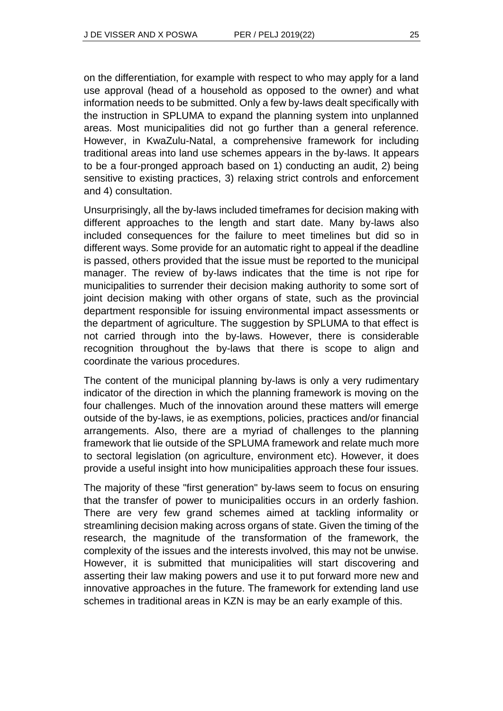on the differentiation, for example with respect to who may apply for a land use approval (head of a household as opposed to the owner) and what information needs to be submitted. Only a few by-laws dealt specifically with the instruction in SPLUMA to expand the planning system into unplanned areas. Most municipalities did not go further than a general reference. However, in KwaZulu-Natal, a comprehensive framework for including traditional areas into land use schemes appears in the by-laws. It appears to be a four-pronged approach based on 1) conducting an audit, 2) being sensitive to existing practices, 3) relaxing strict controls and enforcement and 4) consultation.

Unsurprisingly, all the by-laws included timeframes for decision making with different approaches to the length and start date. Many by-laws also included consequences for the failure to meet timelines but did so in different ways. Some provide for an automatic right to appeal if the deadline is passed, others provided that the issue must be reported to the municipal manager. The review of by-laws indicates that the time is not ripe for municipalities to surrender their decision making authority to some sort of joint decision making with other organs of state, such as the provincial department responsible for issuing environmental impact assessments or the department of agriculture. The suggestion by SPLUMA to that effect is not carried through into the by-laws. However, there is considerable recognition throughout the by-laws that there is scope to align and coordinate the various procedures.

The content of the municipal planning by-laws is only a very rudimentary indicator of the direction in which the planning framework is moving on the four challenges. Much of the innovation around these matters will emerge outside of the by-laws, ie as exemptions, policies, practices and/or financial arrangements. Also, there are a myriad of challenges to the planning framework that lie outside of the SPLUMA framework and relate much more to sectoral legislation (on agriculture, environment etc). However, it does provide a useful insight into how municipalities approach these four issues.

The majority of these "first generation" by-laws seem to focus on ensuring that the transfer of power to municipalities occurs in an orderly fashion. There are very few grand schemes aimed at tackling informality or streamlining decision making across organs of state. Given the timing of the research, the magnitude of the transformation of the framework, the complexity of the issues and the interests involved, this may not be unwise. However, it is submitted that municipalities will start discovering and asserting their law making powers and use it to put forward more new and innovative approaches in the future. The framework for extending land use schemes in traditional areas in KZN is may be an early example of this.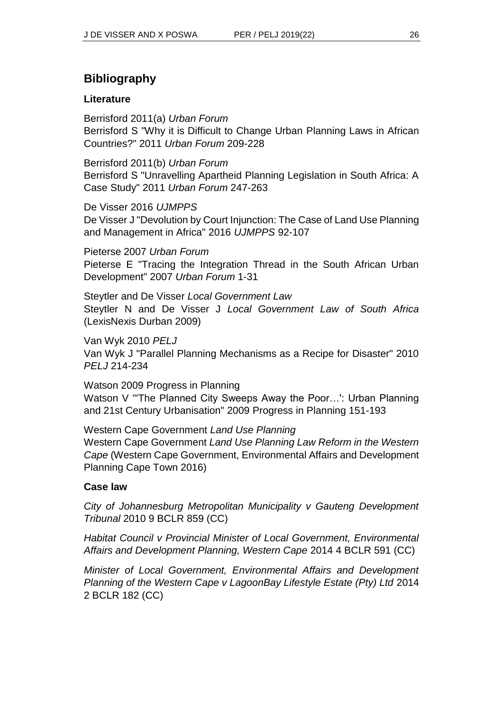# **Bibliography**

#### **Literature**

Berrisford 2011(a) *Urban Forum* Berrisford S "Why it is Difficult to Change Urban Planning Laws in African Countries?" 2011 *Urban Forum* 209-228

Berrisford 2011(b) *Urban Forum* Berrisford S "Unravelling Apartheid Planning Legislation in South Africa: A Case Study" 2011 *Urban Forum* 247-263

De Visser 2016 *UJMPPS* De Visser J "Devolution by Court Injunction: The Case of Land Use Planning and Management in Africa" 2016 *UJMPPS* 92-107

Pieterse 2007 *Urban Forum* Pieterse E "Tracing the Integration Thread in the South African Urban Development" 2007 *Urban Forum* 1-31

Steytler and De Visser *Local Government Law* Steytler N and De Visser J *Local Government Law of South Africa*  (LexisNexis Durban 2009)

Van Wyk 2010 *PELJ* Van Wyk J "Parallel Planning Mechanisms as a Recipe for Disaster" 2010 *PELJ* 214-234

Watson 2009 Progress in Planning Watson V "'The Planned City Sweeps Away the Poor…': Urban Planning and 21st Century Urbanisation" 2009 Progress in Planning 151-193

Western Cape Government *Land Use Planning* Western Cape Government *Land Use Planning Law Reform in the Western Cape* (Western Cape Government, Environmental Affairs and Development Planning Cape Town 2016)

#### **Case law**

*City of Johannesburg Metropolitan Municipality v Gauteng Development Tribunal* 2010 9 BCLR 859 (CC)

*Habitat Council v Provincial Minister of Local Government, Environmental Affairs and Development Planning, Western Cape* 2014 4 BCLR 591 (CC)

*Minister of Local Government, Environmental Affairs and Development Planning of the Western Cape v LagoonBay Lifestyle Estate (Pty) Ltd* 2014 2 BCLR 182 (CC)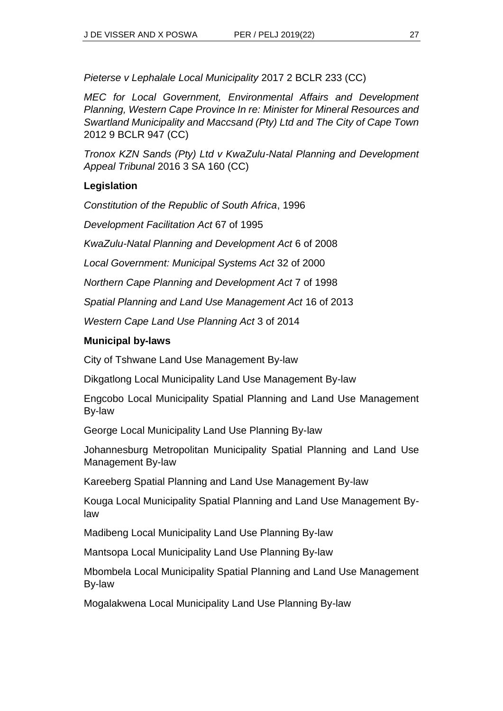*Pieterse v Lephalale Local Municipality* 2017 2 BCLR 233 (CC)

*MEC for Local Government, Environmental Affairs and Development Planning, Western Cape Province In re: Minister for Mineral Resources and Swartland Municipality and Maccsand (Pty) Ltd and The City of Cape Town*  2012 9 BCLR 947 (CC)

*Tronox KZN Sands (Pty) Ltd v KwaZulu-Natal Planning and Development Appeal Tribunal* 2016 3 SA 160 (CC)

### **Legislation**

*Constitution of the Republic of South Africa*, 1996

*Development Facilitation Act* 67 of 1995

*KwaZulu-Natal Planning and Development Act* 6 of 2008

*Local Government: Municipal Systems Act* 32 of 2000

*Northern Cape Planning and Development Act* 7 of 1998

*Spatial Planning and Land Use Management Act* 16 of 2013

*Western Cape Land Use Planning Act* 3 of 2014

### **Municipal by-laws**

City of Tshwane Land Use Management By-law

Dikgatlong Local Municipality Land Use Management By-law

Engcobo Local Municipality Spatial Planning and Land Use Management By-law

George Local Municipality Land Use Planning By-law

Johannesburg Metropolitan Municipality Spatial Planning and Land Use Management By-law

Kareeberg Spatial Planning and Land Use Management By-law

Kouga Local Municipality Spatial Planning and Land Use Management Bylaw

Madibeng Local Municipality Land Use Planning By-law

Mantsopa Local Municipality Land Use Planning By-law

Mbombela Local Municipality Spatial Planning and Land Use Management By-law

Mogalakwena Local Municipality Land Use Planning By-law